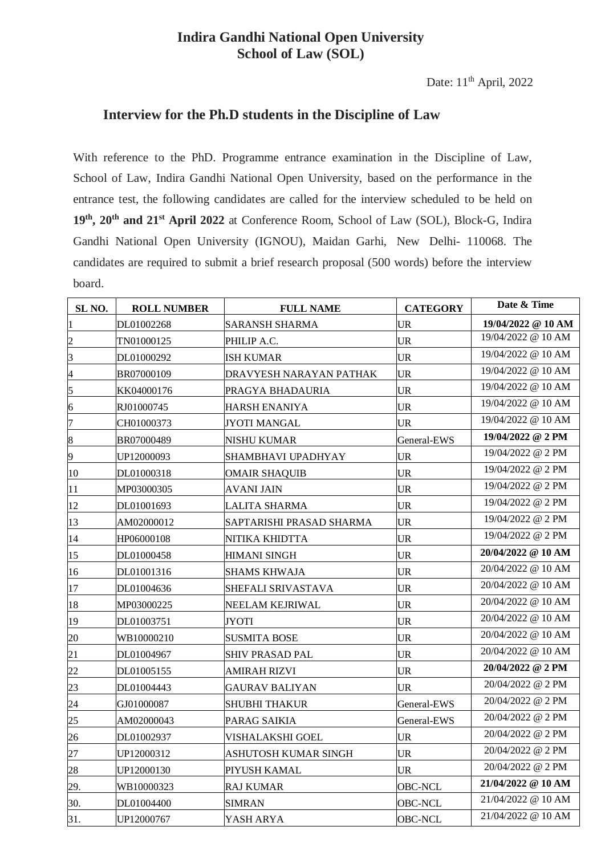## **Indira Gandhi National Open University School of Law (SOL)**

## **Interview for the Ph.D students in the Discipline of Law**

With reference to the PhD. Programme entrance examination in the Discipline of Law, School of Law, Indira Gandhi National Open University, based on the performance in the entrance test, the following candidates are called for the interview scheduled to be held on **th, 20th and 21 st April 2022** at Conference Room, School of Law (SOL), Block-G, Indira Gandhi National Open University (IGNOU), Maidan Garhi, New Delhi- 110068. The candidates are required to submit a brief research proposal (500 words) before the interview board.

| SL <sub>NO</sub> . | <b>ROLL NUMBER</b> | <b>FULL NAME</b>         | <b>CATEGORY</b> | Date & Time                              |
|--------------------|--------------------|--------------------------|-----------------|------------------------------------------|
| 1                  | DL01002268         | <b>SARANSH SHARMA</b>    | <b>UR</b>       | 19/04/2022 @ 10 AM                       |
| $\overline{c}$     | TN01000125         | PHILIP A.C.              | UR              | 19/04/2022 @ 10 AM                       |
| 3                  | DL01000292         | ISH KUMAR                | <b>UR</b>       | 19/04/2022 @ 10 AM                       |
| $\overline{4}$     | BR07000109         | DRAVYESH NARAYAN PATHAK  | <b>UR</b>       | $19/04/2022$ @ 10 AM                     |
| 5                  | KK04000176         | PRAGYA BHADAURIA         | UR              | 19/04/2022 @ 10 AM                       |
| 6                  | RJ01000745         | HARSH ENANIYA            | UR              | 19/04/2022 @ 10 AM                       |
| 7                  | CH01000373         | JYOTI MANGAL             | <b>UR</b>       | 19/04/2022 @ 10 AM                       |
| 8                  | BR07000489         | NISHU KUMAR              | General-EWS     | $19/04/2022 \text{ } \textcircled{2}$ PM |
| 9                  | UP12000093         | SHAMBHAVI UPADHYAY       | UR              | $19/04/2022 \ @ 2 \text{PM}$             |
| 10                 | DL01000318         | OMAIR SHAQUIB            | UR              | 19/04/2022 @ 2 PM                        |
| 11                 | MP03000305         | AVANI JAIN               | UR              | 19/04/2022 @ 2 PM                        |
| 12                 | DL01001693         | LALITA SHARMA            | UR              | $19/04/2022 \ @ 2 \text{PM}$             |
| 13                 | AM02000012         | SAPTARISHI PRASAD SHARMA | UR              | 19/04/2022 @ 2 PM                        |
| 14                 | HP06000108         | NITIKA KHIDTTA           | UR              | $19/04/2022 \ @ 2 \text{PM}$             |
| 15                 | DL01000458         | HIMANI SINGH             | UR              | 20/04/2022 @ 10 AM                       |
| 16                 | DL01001316         | SHAMS KHWAJA             | UR              | 20/04/2022 @ 10 AM                       |
| 17                 | DL01004636         | SHEFALI SRIVASTAVA       | UR              | 20/04/2022 @ 10 AM                       |
| 18                 | MP03000225         | NEELAM KEJRIWAL          | UR              | 20/04/2022 @ 10 AM                       |
| 19                 | DL01003751         | JYOTI                    | UR              | 20/04/2022 @ 10 AM                       |
| 20                 | WB10000210         | SUSMITA BOSE             | UR              | 20/04/2022 @ 10 AM                       |
| 21                 | DL01004967         | SHIV PRASAD PAL          | UR              | 20/04/2022 @ 10 AM                       |
| 22                 | DL01005155         | AMIRAH RIZVI             | UR              | 20/04/2022 @ 2 PM                        |
| 23                 | DL01004443         | GAURAV BALIYAN           | UR              | 20/04/2022 @ 2 PM                        |
| 24                 | GJ01000087         | SHUBHI THAKUR            | General-EWS     | 20/04/2022 @ 2 PM                        |
| 25                 | AM02000043         | PARAG SAIKIA             | General-EWS     | 20/04/2022 @ 2 PM                        |
| 26                 | DL01002937         | VISHALAKSHI GOEL         | UR              | 20/04/2022 @ 2 PM                        |
| 27                 | UP12000312         | ASHUTOSH KUMAR SINGH     | UR              | 20/04/2022 @ 2 PM                        |
| 28                 | UP12000130         | PIYUSH KAMAL             | <b>UR</b>       | 20/04/2022 @ 2 PM                        |
| 29.                | WB10000323         | RAJ KUMAR                | OBC-NCL         | 21/04/2022 @ 10 AM                       |
| 30.                | DL01004400         | <b>SIMRAN</b>            | OBC-NCL         | $21/04/2022$ @ 10 AM                     |
| 31.                | UP12000767         | YASH ARYA                | <b>OBC-NCL</b>  | 21/04/2022 @ 10 AM                       |